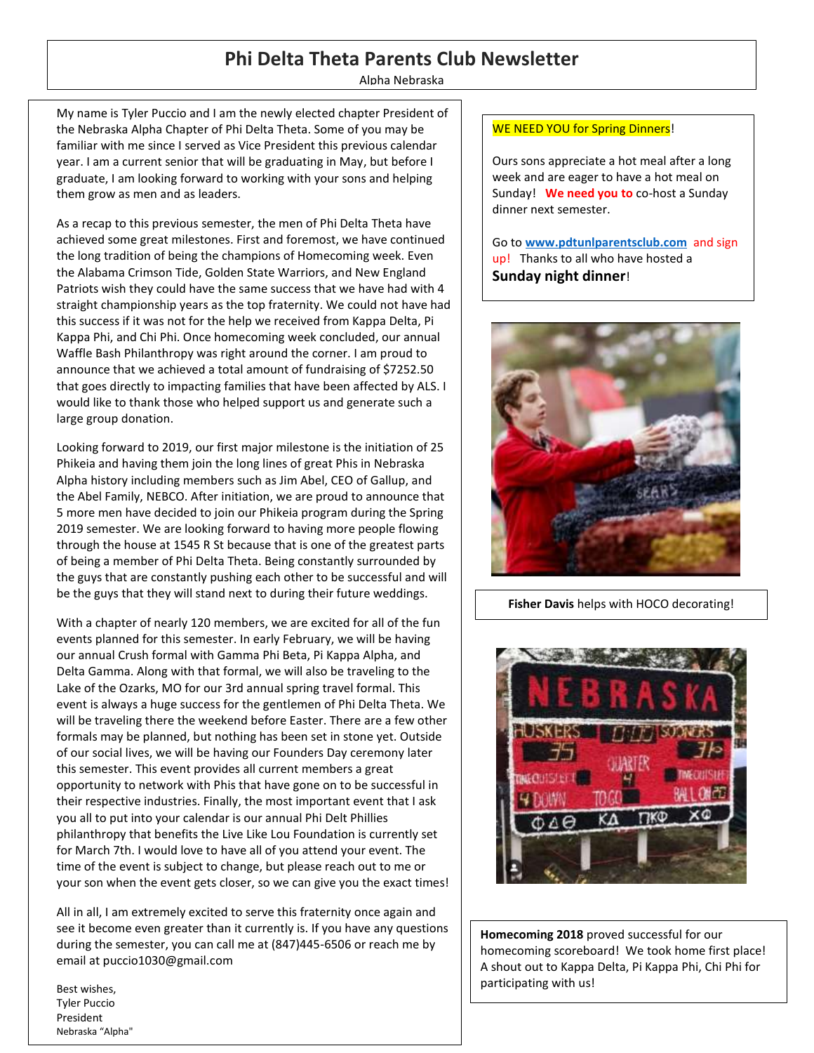# **Phi Delta Theta Parents Club Newsletter**

Alpha Nebraska

My name is Tyler Puccio and I am the newly elected chapter President of the Nebraska Alpha Chapter of Phi Delta Theta. Some of you may be familiar with me since I served as Vice President this previous calendar year. I am a current senior that will be graduating in May, but before I graduate, I am looking forward to working with your sons and helping them grow as men and as leaders.

As a recap to this previous semester, the men of Phi Delta Theta have achieved some great milestones. First and foremost, we have continued the long tradition of being the champions of Homecoming week. Even the Alabama Crimson Tide, Golden State Warriors, and New England Patriots wish they could have the same success that we have had with 4 straight championship years as the top fraternity. We could not have had this success if it was not for the help we received from Kappa Delta, Pi Kappa Phi, and Chi Phi. Once homecoming week concluded, our annual Waffle Bash Philanthropy was right around the corner. I am proud to announce that we achieved a total amount of fundraising of \$7252.50 that goes directly to impacting families that have been affected by ALS. I would like to thank those who helped support us and generate such a large group donation.

Looking forward to 2019, our first major milestone is the initiation of 25 Phikeia and having them join the long lines of great Phis in Nebraska Alpha history including members such as Jim Abel, CEO of Gallup, and the Abel Family, NEBCO. After initiation, we are proud to announce that 5 more men have decided to join our Phikeia program during the Spring 2019 semester. We are looking forward to having more people flowing through the house at 1545 R St because that is one of the greatest parts of being a member of Phi Delta Theta. Being constantly surrounded by the guys that are constantly pushing each other to be successful and will be the guys that they will stand next to during their future weddings.

With a chapter of nearly 120 members, we are excited for all of the fun events planned for this semester. In early February, we will be having our annual Crush formal with Gamma Phi Beta, Pi Kappa Alpha, and Delta Gamma. Along with that formal, we will also be traveling to the Lake of the Ozarks, MO for our 3rd annual spring travel formal. This event is always a huge success for the gentlemen of Phi Delta Theta. We will be traveling there the weekend before Easter. There are a few other formals may be planned, but nothing has been set in stone yet. Outside of our social lives, we will be having our Founders Day ceremony later this semester. This event provides all current members a great opportunity to network with Phis that have gone on to be successful in their respective industries. Finally, the most important event that I ask you all to put into your calendar is our annual Phi Delt Phillies philanthropy that benefits the Live Like Lou Foundation is currently set for March 7th. I would love to have all of you attend your event. The time of the event is subject to change, but please reach out to me or your son when the event gets closer, so we can give you the exact times!

All in all, I am extremely excited to serve this fraternity once again and see it become even greater than it currently is. If you have any questions during the semester, you can call me at (847)445-6506 or reach me by email at puccio1030@gmail.com

Best wishes, Tyler Puccio President Nebraska "Alpha"

### WE NEED YOU for Spring Dinners!

Ours sons appreciate a hot meal after a long week and are eager to have a hot meal on Sunday! **We need you to** co-host a Sunday dinner next semester.

Go to **[www.pdtunlparentsclub.com](http://www.pdtunlparentsclub.com/)** and sign up! Thanks to all who have hosted a **Sunday night dinner**!



**Fisher Davis** helps with HOCO decorating!



**Homecoming 2018** proved successful for our homecoming scoreboard! We took home first place! A shout out to Kappa Delta, Pi Kappa Phi, Chi Phi for participating with us!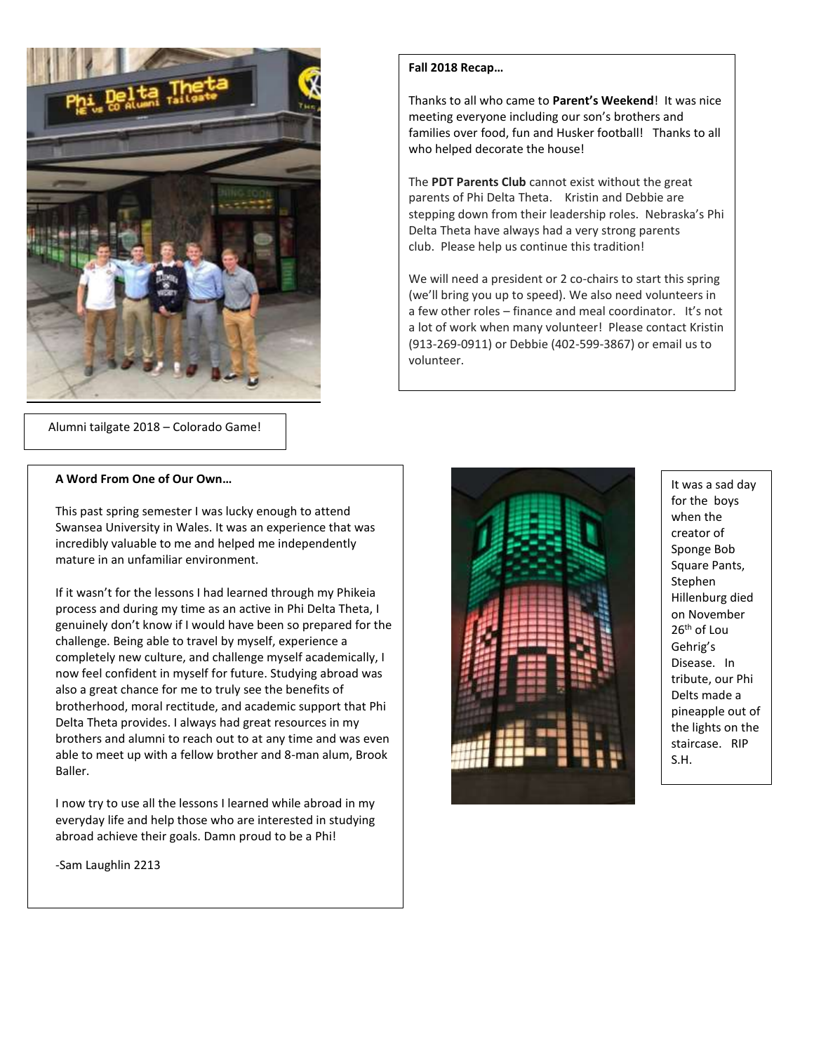

Alumni tailgate 2018 – Colorado Game!

#### **A Word From One of Our Own…**

This past spring semester I was lucky enough to attend Swansea University in Wales. It was an experience that was incredibly valuable to me and helped me independently mature in an unfamiliar environment.

If it wasn't for the lessons I had learned through my Phikeia process and during my time as an active in Phi Delta Theta, I genuinely don't know if I would have been so prepared for the challenge. Being able to travel by myself, experience a completely new culture, and challenge myself academically, I now feel confident in myself for future. Studying abroad was also a great chance for me to truly see the benefits of brotherhood, moral rectitude, and academic support that Phi Delta Theta provides. I always had great resources in my brothers and alumni to reach out to at any time and was even able to meet up with a fellow brother and 8-man alum, Brook Baller.

I now try to use all the lessons I learned while abroad in my everyday life and help those who are interested in studying abroad achieve their goals. Damn proud to be a Phi!

-Sam Laughlin 2213

#### **Fall 2018 Recap…**

Thanks to all who came to **Parent's Weekend**! It was nice meeting everyone including our son's brothers and families over food, fun and Husker football! Thanks to all who helped decorate the house!

The **PDT Parents Club** cannot exist without the great parents of Phi Delta Theta.Kristin and Debbie are stepping down from their leadership roles.Nebraska's Phi Delta Theta have always had a very strong parents club. Please help us continue this tradition!

We will need a president or 2 co-chairs to start this spring (we'll bring you up to speed). We also need volunteers in a few other roles – finance and meal coordinator. It's not a lot of work when many volunteer! Please contact Kristin (913-269-0911) or Debbie (402-599-3867) or email us to volunteer.



It was a sad day for the boys when the creator of Sponge Bob Square Pants, Stephen Hillenburg died on November 26th of Lou Gehrig's Disease. In tribute, our Phi Delts made a pineapple out of the lights on the staircase. RIP S.H.